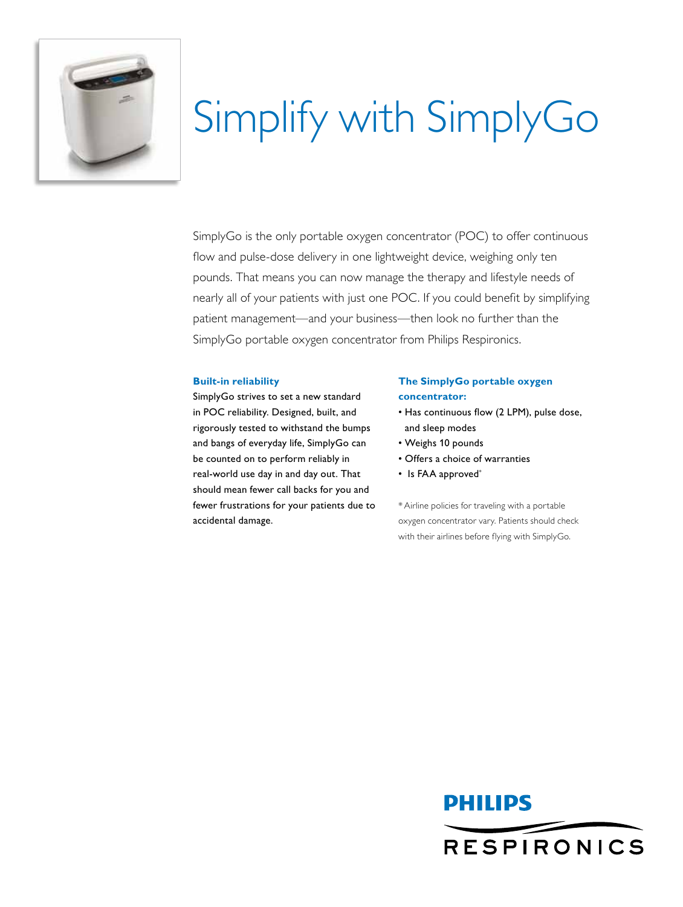

# Simplify with SimplyGo

SimplyGo is the only portable oxygen concentrator (POC) to offer continuous flow and pulse-dose delivery in one lightweight device, weighing only ten pounds. That means you can now manage the therapy and lifestyle needs of nearly all of your patients with just one POC. If you could benefit by simplifying patient management—and your business—then look no further than the SimplyGo portable oxygen concentrator from Philips Respironics.

#### **Built-in reliability**

SimplyGo strives to set a new standard in POC reliability. Designed, built, and rigorously tested to withstand the bumps and bangs of everyday life, SimplyGo can be counted on to perform reliably in real-world use day in and day out. That should mean fewer call backs for you and fewer frustrations for your patients due to accidental damage.

#### **The SimplyGo portable oxygen concentrator:**

- Has continuous flow (2 LPM), pulse dose, and sleep modes
- • Weighs 10 pounds
- • Offers a choice of warranties
- Is FAA approved\*

\*Airline policies for traveling with a portable oxygen concentrator vary. Patients should check with their airlines before flying with SimplyGo.

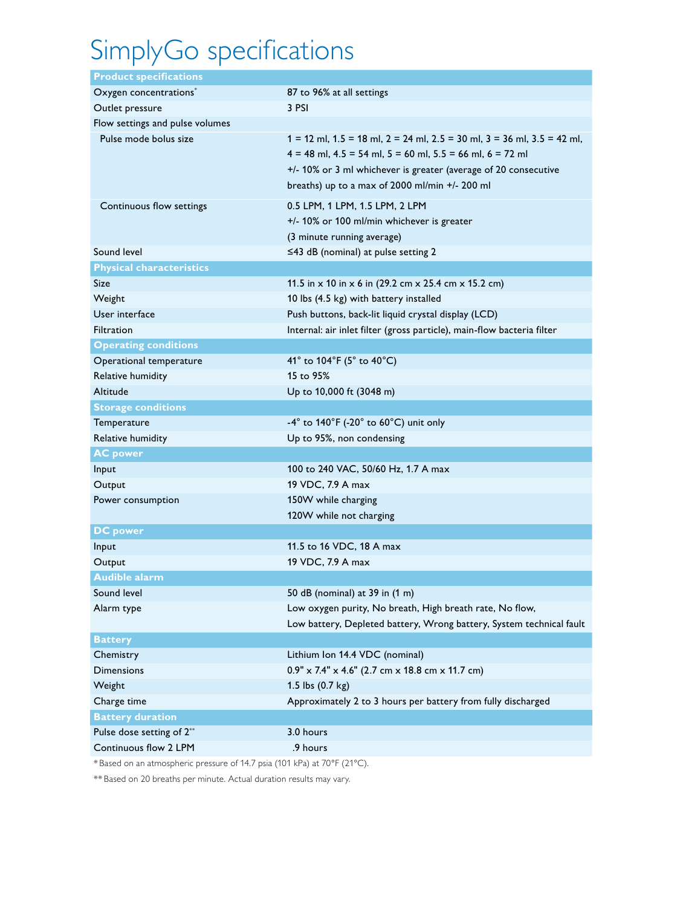# SimplyGo specifications

| <b>Product specifications</b>      |                                                                                                                                                                                                                                                                                 |
|------------------------------------|---------------------------------------------------------------------------------------------------------------------------------------------------------------------------------------------------------------------------------------------------------------------------------|
| Oxygen concentrations <sup>*</sup> | 87 to 96% at all settings                                                                                                                                                                                                                                                       |
| Outlet pressure                    | 3 PSI                                                                                                                                                                                                                                                                           |
| Flow settings and pulse volumes    |                                                                                                                                                                                                                                                                                 |
| Pulse mode bolus size              | $1 = 12$ ml, $1.5 = 18$ ml, $2 = 24$ ml, $2.5 = 30$ ml, $3 = 36$ ml, $3.5 = 42$ ml,<br>$4 = 48$ ml, $4.5 = 54$ ml, $5 = 60$ ml, $5.5 = 66$ ml, $6 = 72$ ml<br>+/- 10% or 3 ml whichever is greater (average of 20 consecutive<br>breaths) up to a max of 2000 ml/min +/- 200 ml |
| Continuous flow settings           | 0.5 LPM, 1 LPM, 1.5 LPM, 2 LPM<br>+/- 10% or 100 ml/min whichever is greater<br>(3 minute running average)                                                                                                                                                                      |
| Sound level                        | $\leq$ 43 dB (nominal) at pulse setting 2                                                                                                                                                                                                                                       |
| <b>Physical characteristics</b>    |                                                                                                                                                                                                                                                                                 |
| Size                               | 11.5 in $\times$ 10 in $\times$ 6 in (29.2 cm $\times$ 25.4 cm $\times$ 15.2 cm)                                                                                                                                                                                                |
| Weight                             | 10 lbs (4.5 kg) with battery installed                                                                                                                                                                                                                                          |
| User interface                     | Push buttons, back-lit liquid crystal display (LCD)                                                                                                                                                                                                                             |
| <b>Filtration</b>                  | Internal: air inlet filter (gross particle), main-flow bacteria filter                                                                                                                                                                                                          |
| <b>Operating conditions</b>        |                                                                                                                                                                                                                                                                                 |
| Operational temperature            | 41 $^{\circ}$ to 104 $^{\circ}$ F (5 $^{\circ}$ to 40 $^{\circ}$ C)                                                                                                                                                                                                             |
| Relative humidity                  | 15 to 95%                                                                                                                                                                                                                                                                       |
| Altitude                           | Up to 10,000 ft (3048 m)                                                                                                                                                                                                                                                        |
| <b>Storage conditions</b>          |                                                                                                                                                                                                                                                                                 |
| Temperature                        | $-4^{\circ}$ to 140°F (-20° to 60°C) unit only                                                                                                                                                                                                                                  |
| Relative humidity                  | Up to 95%, non condensing                                                                                                                                                                                                                                                       |
| <b>AC power</b>                    |                                                                                                                                                                                                                                                                                 |
| Input                              | 100 to 240 VAC, 50/60 Hz, 1.7 A max                                                                                                                                                                                                                                             |
| Output                             | 19 VDC, 7.9 A max                                                                                                                                                                                                                                                               |
| Power consumption                  | 150W while charging                                                                                                                                                                                                                                                             |
|                                    | 120W while not charging                                                                                                                                                                                                                                                         |
| <b>DC</b> power                    |                                                                                                                                                                                                                                                                                 |
| Input                              | 11.5 to 16 VDC, 18 A max                                                                                                                                                                                                                                                        |
| Output                             | 19 VDC, 7.9 A max                                                                                                                                                                                                                                                               |
| <b>Audible alarm</b>               |                                                                                                                                                                                                                                                                                 |
| Sound level                        | 50 dB (nominal) at 39 in (1 m)                                                                                                                                                                                                                                                  |
| Alarm type                         | Low oxygen purity, No breath, High breath rate, No flow,                                                                                                                                                                                                                        |
|                                    | Low battery, Depleted battery, Wrong battery, System technical fault                                                                                                                                                                                                            |
| <b>Battery</b>                     |                                                                                                                                                                                                                                                                                 |
| Chemistry                          | Lithium Ion 14.4 VDC (nominal)                                                                                                                                                                                                                                                  |
| <b>Dimensions</b>                  | $0.9'' \times 7.4'' \times 4.6''$ (2.7 cm x 18.8 cm x 11.7 cm)                                                                                                                                                                                                                  |
| Weight                             | 1.5 lbs (0.7 kg)                                                                                                                                                                                                                                                                |
| Charge time                        | Approximately 2 to 3 hours per battery from fully discharged                                                                                                                                                                                                                    |
| <b>Battery duration</b>            |                                                                                                                                                                                                                                                                                 |
| Pulse dose setting of 2**          | 3.0 hours                                                                                                                                                                                                                                                                       |
| Continuous flow 2 LPM              | .9 hours                                                                                                                                                                                                                                                                        |

\* Based on an atmospheric pressure of 14.7 psia (101 kPa) at 70°F (21°C).

\*\* Based on 20 breaths per minute. Actual duration results may vary.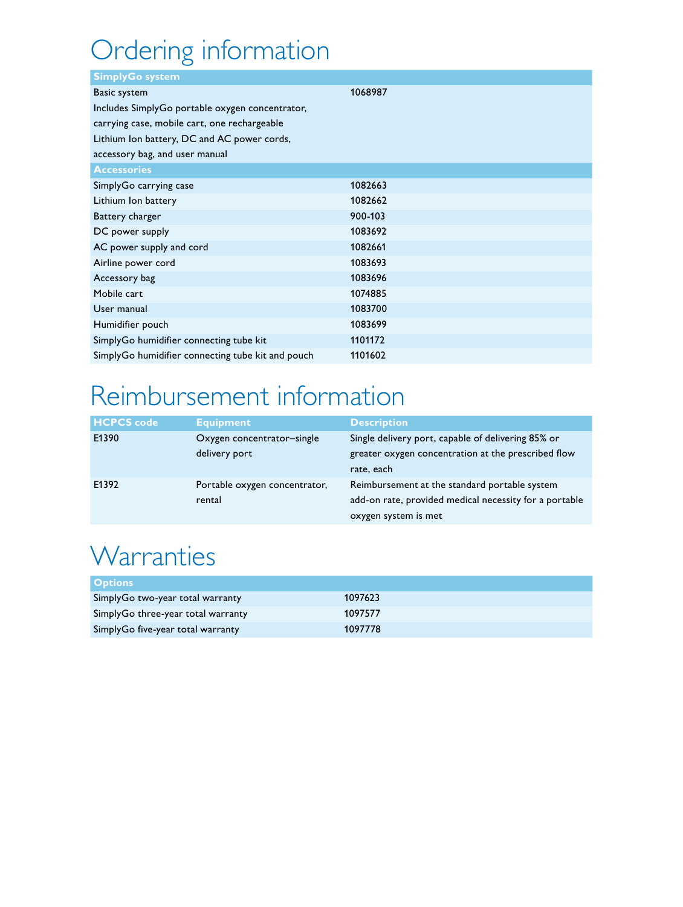## Ordering information

| <b>SimplyGo system</b>                            |         |
|---------------------------------------------------|---------|
| <b>Basic system</b>                               | 1068987 |
| Includes SimplyGo portable oxygen concentrator,   |         |
| carrying case, mobile cart, one rechargeable      |         |
| Lithium Ion battery, DC and AC power cords,       |         |
| accessory bag, and user manual                    |         |
| <b>Accessories</b>                                |         |
| SimplyGo carrying case                            | 1082663 |
| Lithium Ion battery                               | 1082662 |
| Battery charger                                   | 900-103 |
| DC power supply                                   | 1083692 |
| AC power supply and cord                          | 1082661 |
| Airline power cord                                | 1083693 |
| Accessory bag                                     | 1083696 |
| Mobile cart                                       | 1074885 |
| User manual                                       | 1083700 |
| Humidifier pouch                                  | 1083699 |
| SimplyGo humidifier connecting tube kit           | 1101172 |
| SimplyGo humidifier connecting tube kit and pouch | 1101602 |

### Reimbursement information

| <b>HCPCS code</b> | <b>Equipment</b>              | <b>Description</b>                                     |
|-------------------|-------------------------------|--------------------------------------------------------|
| E1390             | Oxygen concentrator-single    | Single delivery port, capable of delivering 85% or     |
|                   | delivery port                 | greater oxygen concentration at the prescribed flow    |
|                   |                               | rate, each                                             |
| E1392             | Portable oxygen concentrator, | Reimbursement at the standard portable system          |
|                   | rental                        | add-on rate, provided medical necessity for a portable |
|                   |                               | oxygen system is met                                   |

### **Warranties**

| <b>Options</b>                     |         |
|------------------------------------|---------|
| SimplyGo two-year total warranty   | 1097623 |
| SimplyGo three-year total warranty | 1097577 |
| SimplyGo five-year total warranty  | 1097778 |